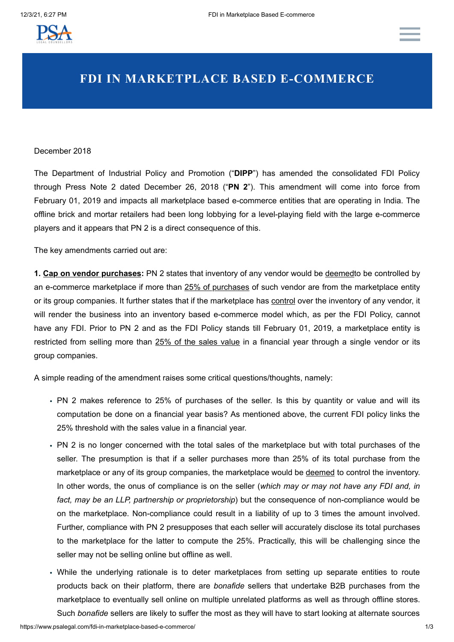

## **FDI IN MARKETPLACE BASED E-COMMERCE**

## December 2018

The Department of Industrial Policy and Promotion ("**DIPP**") has amended the consolidated FDI Policy through Press Note 2 dated December 26, 2018 ("**PN 2**"). This amendment will come into force from February 01, 2019 and impacts all marketplace based e-commerce entities that are operating in India. The offline brick and mortar retailers had been long lobbying for a level-playing field with the large e-commerce players and it appears that PN 2 is a direct consequence of this.

The key amendments carried out are:

**1. Cap on vendor purchases:** PN 2 states that inventory of any vendor would be deemedto be controlled by an e-commerce marketplace if more than 25% of purchases of such vendor are from the marketplace entity or its group companies. It further states that if the marketplace has control over the inventory of any vendor, it will render the business into an inventory based e-commerce model which, as per the FDI Policy, cannot have any FDI. Prior to PN 2 and as the FDI Policy stands till February 01, 2019, a marketplace entity is restricted from selling more than 25% of the sales value in a financial year through a single vendor or its group companies.

A simple reading of the amendment raises some critical questions/thoughts, namely:

- PN 2 makes reference to 25% of purchases of the seller. Is this by quantity or value and will its computation be done on a financial year basis? As mentioned above, the current FDI policy links the 25% threshold with the sales value in a financial year.
- PN 2 is no longer concerned with the total sales of the marketplace but with total purchases of the seller. The presumption is that if a seller purchases more than 25% of its total purchase from the marketplace or any of its group companies, the marketplace would be deemed to control the inventory. In other words, the onus of compliance is on the seller (*which may or may not have any FDI and, in fact, may be an LLP, partnership or proprietorship*) but the consequence of non-compliance would be on the marketplace. Non-compliance could result in a liability of up to 3 times the amount involved. Further, compliance with PN 2 presupposes that each seller will accurately disclose its total purchases to the marketplace for the latter to compute the 25%. Practically, this will be challenging since the seller may not be selling online but offline as well.
- While the underlying rationale is to deter marketplaces from setting up separate entities to route products back on their platform, there are *bonafide* sellers that undertake B2B purchases from the marketplace to eventually sell online on multiple unrelated platforms as well as through offline stores. Such *bonafide* sellers are likely to suffer the most as they will have to start looking at alternate sources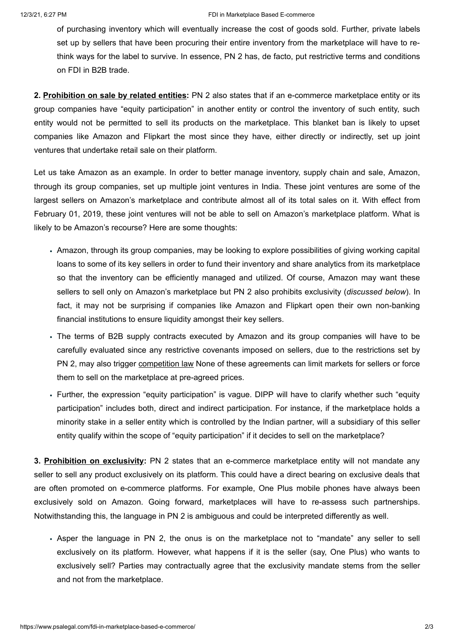## 12/3/21, 6:27 PM **FILL In Marketplace Based E-commerce FILL In Marketplace Based E-commerce**

of purchasing inventory which will eventually increase the cost of goods sold. Further, private labels set up by sellers that have been procuring their entire inventory from the marketplace will have to rethink ways for the label to survive. In essence, PN 2 has, de facto, put restrictive terms and conditions on FDI in B2B trade.

**2. Prohibition on sale by related entities:** PN 2 also states that if an e-commerce marketplace entity or its group companies have "equity participation" in another entity or control the inventory of such entity, such entity would not be permitted to sell its products on the marketplace. This blanket ban is likely to upset companies like Amazon and Flipkart the most since they have, either directly or indirectly, set up joint ventures that undertake retail sale on their platform.

Let us take Amazon as an example. In order to better manage inventory, supply chain and sale, Amazon, through its group companies, set up multiple joint ventures in India. These joint ventures are some of the largest sellers on Amazon's marketplace and contribute almost all of its total sales on it. With effect from February 01, 2019, these joint ventures will not be able to sell on Amazon's marketplace platform. What is likely to be Amazon's recourse? Here are some thoughts:

- Amazon, through its group companies, may be looking to explore possibilities of giving working capital loans to some of its key sellers in order to fund their inventory and share analytics from its marketplace so that the inventory can be efficiently managed and utilized. Of course, Amazon may want these sellers to sell only on Amazon's marketplace but PN 2 also prohibits exclusivity (*discussed below*). In fact, it may not be surprising if companies like Amazon and Flipkart open their own non-banking financial institutions to ensure liquidity amongst their key sellers.
- The terms of B2B supply contracts executed by Amazon and its group companies will have to be carefully evaluated since any restrictive covenants imposed on sellers, due to the restrictions set by PN 2, may also trigger competition law None of these agreements can limit markets for sellers or force them to sell on the marketplace at pre-agreed prices.
- Further, the expression "equity participation" is vague. DIPP will have to clarify whether such "equity participation" includes both, direct and indirect participation. For instance, if the marketplace holds a minority stake in a seller entity which is controlled by the Indian partner, will a subsidiary of this seller entity qualify within the scope of "equity participation" if it decides to sell on the marketplace?

**3. Prohibition on exclusivity:** PN 2 states that an e-commerce marketplace entity will not mandate any seller to sell any product exclusively on its platform. This could have a direct bearing on exclusive deals that are often promoted on e-commerce platforms. For example, One Plus mobile phones have always been exclusively sold on Amazon. Going forward, marketplaces will have to re-assess such partnerships. Notwithstanding this, the language in PN 2 is ambiguous and could be interpreted differently as well.

Asper the language in PN 2, the onus is on the marketplace not to "mandate" any seller to sell exclusively on its platform. However, what happens if it is the seller (say, One Plus) who wants to exclusively sell? Parties may contractually agree that the exclusivity mandate stems from the seller and not from the marketplace.